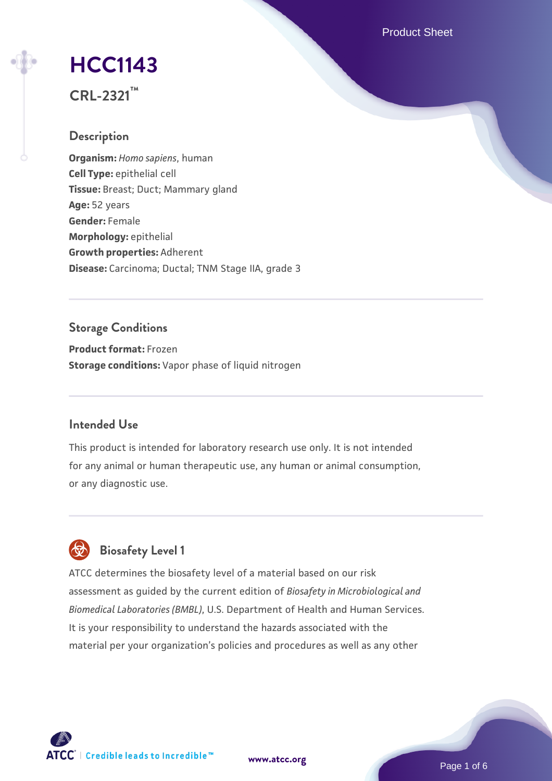Product Sheet

# **[HCC1143](https://www.atcc.org/products/crl-2321)**

**CRL-2321™**

## **Description**

**Organism:** *Homo sapiens*, human **Cell Type:** epithelial cell **Tissue:** Breast; Duct; Mammary gland **Age:** 52 years **Gender:** Female **Morphology:** epithelial **Growth properties:** Adherent **Disease:** Carcinoma; Ductal; TNM Stage IIA, grade 3

## **Storage Conditions**

**Product format:** Frozen **Storage conditions:** Vapor phase of liquid nitrogen

## **Intended Use**

This product is intended for laboratory research use only. It is not intended for any animal or human therapeutic use, any human or animal consumption, or any diagnostic use.



## **Biosafety Level 1**

ATCC determines the biosafety level of a material based on our risk assessment as guided by the current edition of *Biosafety in Microbiological and Biomedical Laboratories (BMBL)*, U.S. Department of Health and Human Services. It is your responsibility to understand the hazards associated with the material per your organization's policies and procedures as well as any other

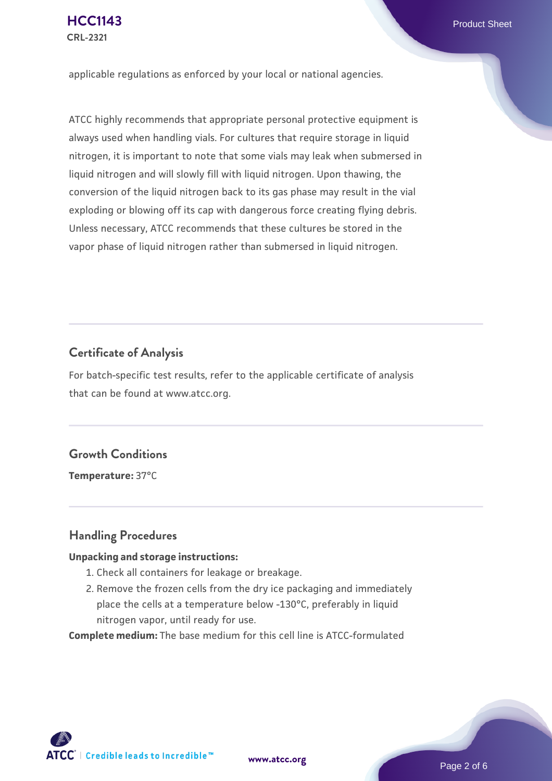applicable regulations as enforced by your local or national agencies.

ATCC highly recommends that appropriate personal protective equipment is always used when handling vials. For cultures that require storage in liquid nitrogen, it is important to note that some vials may leak when submersed in liquid nitrogen and will slowly fill with liquid nitrogen. Upon thawing, the conversion of the liquid nitrogen back to its gas phase may result in the vial exploding or blowing off its cap with dangerous force creating flying debris. Unless necessary, ATCC recommends that these cultures be stored in the vapor phase of liquid nitrogen rather than submersed in liquid nitrogen.

## **Certificate of Analysis**

For batch-specific test results, refer to the applicable certificate of analysis that can be found at www.atcc.org.

## **Growth Conditions**

**Temperature:** 37°C

## **Handling Procedures**

#### **Unpacking and storage instructions:**

- 1. Check all containers for leakage or breakage.
- 2. Remove the frozen cells from the dry ice packaging and immediately place the cells at a temperature below -130°C, preferably in liquid nitrogen vapor, until ready for use.

**Complete medium:** The base medium for this cell line is ATCC-formulated

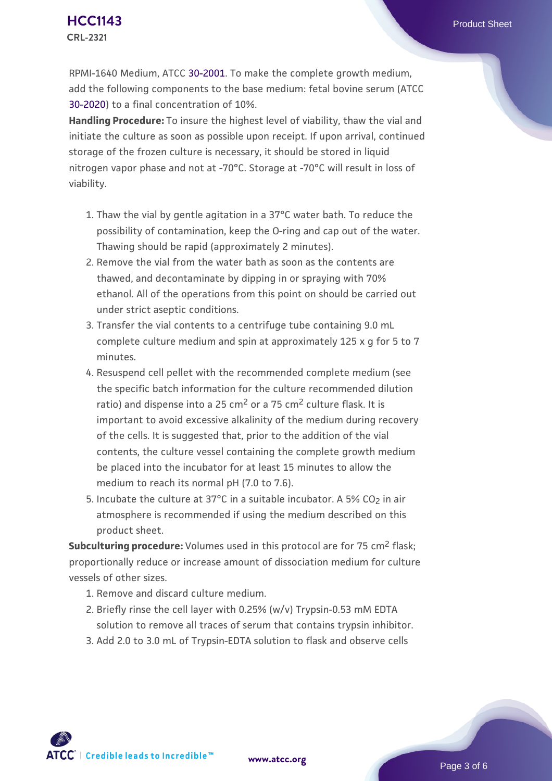RPMI-1640 Medium, ATCC [30-2001.](https://www.atcc.org/Products/All/30-2001.aspx) To make the complete growth medium, add the following components to the base medium: fetal bovine serum (ATCC [30-2020\)](https://www.atcc.org/Products/All/30-2020.aspx) to a final concentration of 10%.

**Handling Procedure:** To insure the highest level of viability, thaw the vial and initiate the culture as soon as possible upon receipt. If upon arrival, continued storage of the frozen culture is necessary, it should be stored in liquid nitrogen vapor phase and not at -70°C. Storage at -70°C will result in loss of viability.

- 1. Thaw the vial by gentle agitation in a 37°C water bath. To reduce the possibility of contamination, keep the O-ring and cap out of the water. Thawing should be rapid (approximately 2 minutes).
- 2. Remove the vial from the water bath as soon as the contents are thawed, and decontaminate by dipping in or spraying with 70% ethanol. All of the operations from this point on should be carried out under strict aseptic conditions.
- 3. Transfer the vial contents to a centrifuge tube containing 9.0 mL complete culture medium and spin at approximately 125 x g for 5 to 7 minutes.
- 4. Resuspend cell pellet with the recommended complete medium (see the specific batch information for the culture recommended dilution ratio) and dispense into a 25  $\text{cm}^2$  or a 75  $\text{cm}^2$  culture flask. It is important to avoid excessive alkalinity of the medium during recovery of the cells. It is suggested that, prior to the addition of the vial contents, the culture vessel containing the complete growth medium be placed into the incubator for at least 15 minutes to allow the medium to reach its normal pH (7.0 to 7.6).
- 5. Incubate the culture at 37°C in a suitable incubator. A 5% CO<sub>2</sub> in air atmosphere is recommended if using the medium described on this product sheet.

**Subculturing procedure:** Volumes used in this protocol are for 75 cm<sup>2</sup> flask; proportionally reduce or increase amount of dissociation medium for culture vessels of other sizes.

- 1. Remove and discard culture medium.
- 2. Briefly rinse the cell layer with 0.25% (w/v) Trypsin-0.53 mM EDTA solution to remove all traces of serum that contains trypsin inhibitor.
- 3. Add 2.0 to 3.0 mL of Trypsin-EDTA solution to flask and observe cells

 $\mathsf{ATCC}^{\dagger} \mid$  Credible leads to Incredible  $\mathbb{\mathbb{M}}$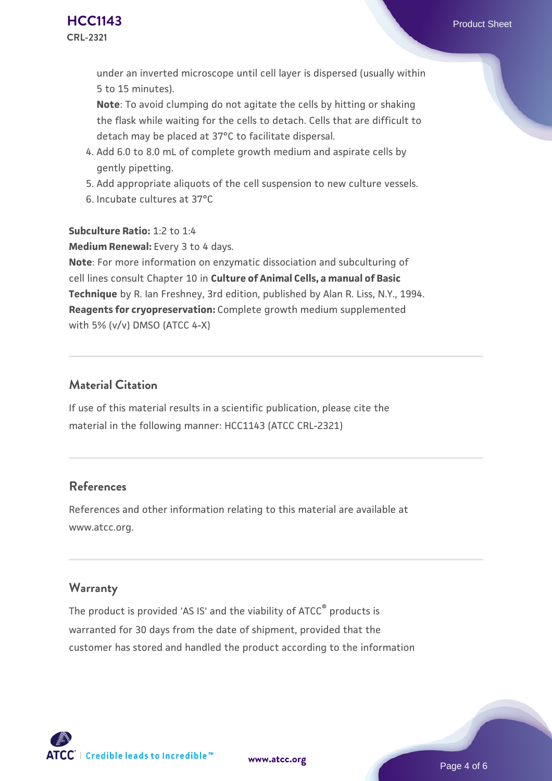under an inverted microscope until cell layer is dispersed (usually within 5 to 15 minutes).

**Note**: To avoid clumping do not agitate the cells by hitting or shaking the flask while waiting for the cells to detach. Cells that are difficult to detach may be placed at 37°C to facilitate dispersal.

- Add 6.0 to 8.0 mL of complete growth medium and aspirate cells by 4. gently pipetting.
- 5. Add appropriate aliquots of the cell suspension to new culture vessels.
- 6. Incubate cultures at 37°C

**Subculture Ratio:** 1:2 to 1:4

**Medium Renewal:** Every 3 to 4 days.

**Note**: For more information on enzymatic dissociation and subculturing of cell lines consult Chapter 10 in **Culture of Animal Cells, a manual of Basic Technique** by R. Ian Freshney, 3rd edition, published by Alan R. Liss, N.Y., 1994. **Reagents for cryopreservation:** Complete growth medium supplemented with 5% (v/v) DMSO (ATCC 4-X)

## **Material Citation**

If use of this material results in a scientific publication, please cite the material in the following manner: HCC1143 (ATCC CRL-2321)

## **References**

References and other information relating to this material are available at www.atcc.org.

## **Warranty**

The product is provided 'AS IS' and the viability of ATCC<sup>®</sup> products is warranted for 30 days from the date of shipment, provided that the customer has stored and handled the product according to the information

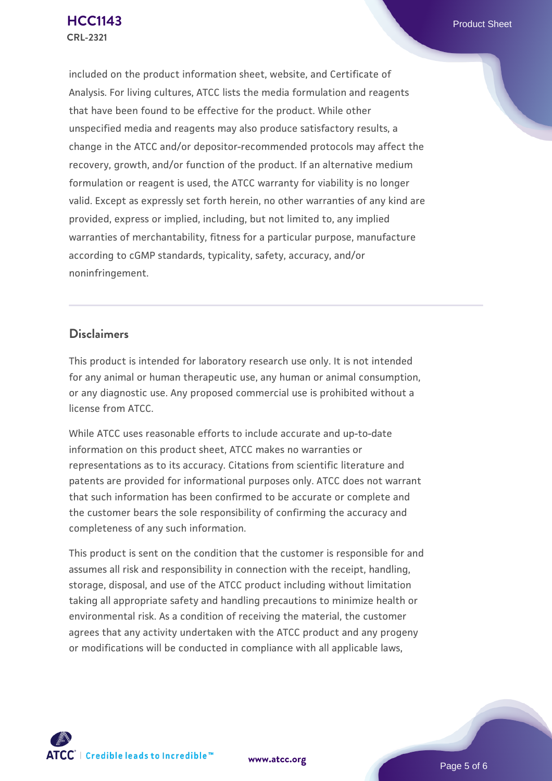included on the product information sheet, website, and Certificate of Analysis. For living cultures, ATCC lists the media formulation and reagents that have been found to be effective for the product. While other unspecified media and reagents may also produce satisfactory results, a change in the ATCC and/or depositor-recommended protocols may affect the recovery, growth, and/or function of the product. If an alternative medium formulation or reagent is used, the ATCC warranty for viability is no longer valid. Except as expressly set forth herein, no other warranties of any kind are provided, express or implied, including, but not limited to, any implied warranties of merchantability, fitness for a particular purpose, manufacture according to cGMP standards, typicality, safety, accuracy, and/or noninfringement.

## **Disclaimers**

This product is intended for laboratory research use only. It is not intended for any animal or human therapeutic use, any human or animal consumption, or any diagnostic use. Any proposed commercial use is prohibited without a license from ATCC.

While ATCC uses reasonable efforts to include accurate and up-to-date information on this product sheet, ATCC makes no warranties or representations as to its accuracy. Citations from scientific literature and patents are provided for informational purposes only. ATCC does not warrant that such information has been confirmed to be accurate or complete and the customer bears the sole responsibility of confirming the accuracy and completeness of any such information.

This product is sent on the condition that the customer is responsible for and assumes all risk and responsibility in connection with the receipt, handling, storage, disposal, and use of the ATCC product including without limitation taking all appropriate safety and handling precautions to minimize health or environmental risk. As a condition of receiving the material, the customer agrees that any activity undertaken with the ATCC product and any progeny or modifications will be conducted in compliance with all applicable laws,